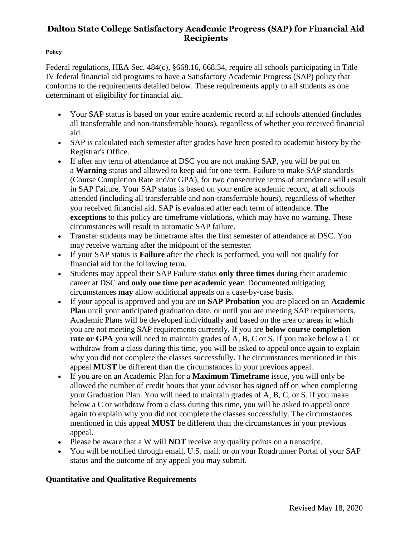#### **Policy**

Federal regulations, HEA Sec. 484(c), §668.16, 668.34, require all schools participating in Title IV federal financial aid programs to have a Satisfactory Academic Progress (SAP) policy that conforms to the requirements detailed below. These requirements apply to all students as one determinant of eligibility for financial aid.

- Your SAP status is based on your entire academic record at all schools attended (includes all transferrable and non-transferrable hours), regardless of whether you received financial aid.
- SAP is calculated each semester after grades have been posted to academic history by the Registrar's Office.
- If after any term of attendance at DSC you are not making SAP, you will be put on a **Warning** status and allowed to keep aid for one term. Failure to make SAP standards (Course Completion Rate and/or GPA), for two consecutive terms of attendance will result in SAP Failure. Your SAP status is based on your entire academic record, at all schools attended (including all transferrable and non-transferrable hours), regardless of whether you received financial aid. SAP is evaluated after each term of attendance. **The exceptions** to this policy are timeframe violations, which may have no warning. These circumstances will result in automatic SAP failure.
- Transfer students may be timeframe after the first semester of attendance at DSC. You may receive warning after the midpoint of the semester.
- If your SAP status is **Failure** after the check is performed, you will not qualify for financial aid for the following term.
- Students may appeal their SAP Failure status **only three times** during their academic career at DSC and **only one time per academic year**. Documented mitigating circumstances **may** allow additional appeals on a case-by-case basis.
- If your appeal is approved and you are on **SAP Probation** you are placed on an **Academic Plan** until your anticipated graduation date, or until you are meeting SAP requirements. Academic Plans will be developed individually and based on the area or areas in which you are not meeting SAP requirements currently. If you are **below course completion rate or GPA** you will need to maintain grades of A, B, C or S. If you make below a C or withdraw from a class during this time, you will be asked to appeal once again to explain why you did not complete the classes successfully. The circumstances mentioned in this appeal **MUST** be different than the circumstances in your previous appeal.
- If you are on an Academic Plan for a **Maximum Timeframe** issue, you will only be allowed the number of credit hours that your advisor has signed off on when completing your Graduation Plan. You will need to maintain grades of A, B, C, or S. If you make below a C or withdraw from a class during this time, you will be asked to appeal once again to explain why you did not complete the classes successfully. The circumstances mentioned in this appeal **MUST** be different than the circumstances in your previous appeal.
- Please be aware that a W will **NOT** receive any quality points on a transcript.
- You will be notified through email, U.S. mail, or on your Roadrunner Portal of your SAP status and the outcome of any appeal you may submit.

### **Quantitative and Qualitative Requirements**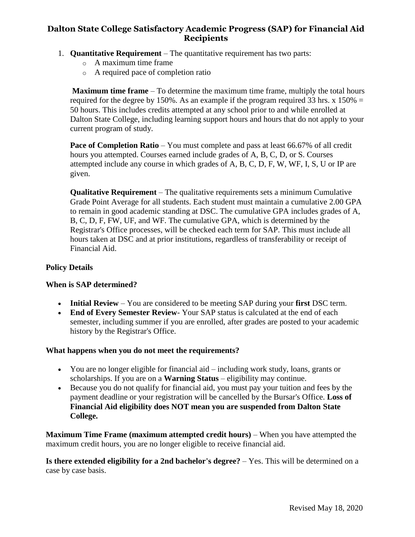- 1. **Quantitative Requirement** The quantitative requirement has two parts:
	- o A maximum time frame
	- o A required pace of completion ratio

**Maximum time frame** – To determine the maximum time frame, multiply the total hours required for the degree by 150%. As an example if the program required 33 hrs. x  $150\%$  = 50 hours. This includes credits attempted at any school prior to and while enrolled at Dalton State College, including learning support hours and hours that do not apply to your current program of study.

**Pace of Completion Ratio** – You must complete and pass at least 66.67% of all credit hours you attempted. Courses earned include grades of A, B, C, D, or S. Courses attempted include any course in which grades of A, B, C, D, F, W, WF, I, S, U or IP are given.

**Qualitative Requirement** – The qualitative requirements sets a minimum Cumulative Grade Point Average for all students. Each student must maintain a cumulative 2.00 GPA to remain in good academic standing at DSC. The cumulative GPA includes grades of A, B, C, D, F, FW, UF, and WF. The cumulative GPA, which is determined by the Registrar's Office processes, will be checked each term for SAP. This must include all hours taken at DSC and at prior institutions, regardless of transferability or receipt of Financial Aid.

### **Policy Details**

#### **When is SAP determined?**

- **Initial Review** You are considered to be meeting SAP during your **first** DSC term.
- **End of Every Semester Review** Your SAP status is calculated at the end of each semester, including summer if you are enrolled, after grades are posted to your academic history by the Registrar's Office.

#### **What happens when you do not meet the requirements?**

- You are no longer eligible for financial aid including work study, loans, grants or scholarships. If you are on a **Warning Status** – eligibility may continue.
- Because you do not qualify for financial aid, you must pay your tuition and fees by the payment deadline or your registration will be cancelled by the Bursar's Office. **Loss of Financial Aid eligibility does NOT mean you are suspended from Dalton State College.**

**Maximum Time Frame (maximum attempted credit hours)** – When you have attempted the maximum credit hours, you are no longer eligible to receive financial aid.

**Is there extended eligibility for a 2nd bachelor's degree?** – Yes. This will be determined on a case by case basis.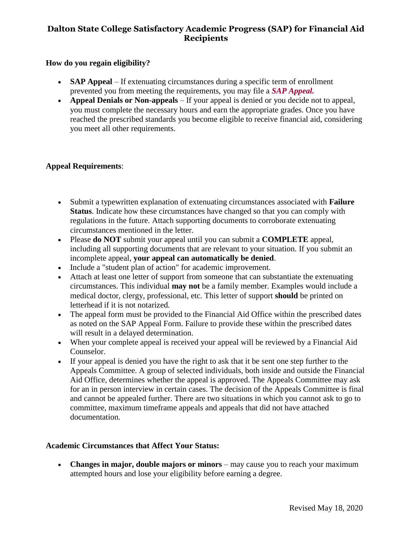### **How do you regain eligibility?**

- **SAP Appeal** If extenuating circumstances during a specific term of enrollment prevented you from meeting the requirements, you may file a *[SAP Appeal.](http://financialaid.kennesaw.edu/documents/1415_sap_form.pdf)*
- **Appeal Denials or Non-appeals** If your appeal is denied or you decide not to appeal, you must complete the necessary hours and earn the appropriate grades. Once you have reached the prescribed standards you become eligible to receive financial aid, considering you meet all other requirements.

### **Appeal Requirements**:

- Submit a typewritten explanation of extenuating circumstances associated with **Failure Status**. Indicate how these circumstances have changed so that you can comply with regulations in the future. Attach supporting documents to corroborate extenuating circumstances mentioned in the letter.
- Please **do NOT** submit your appeal until you can submit a **COMPLETE** appeal, including all supporting documents that are relevant to your situation. If you submit an incomplete appeal, **your appeal can automatically be denied**.
- Include a "student plan of action" for academic improvement.
- Attach at least one letter of support from someone that can substantiate the extenuating circumstances. This individual **may not** be a family member. Examples would include a medical doctor, clergy, professional, etc. This letter of support **should** be printed on letterhead if it is not notarized.
- The appeal form must be provided to the Financial Aid Office within the prescribed dates as noted on the SAP Appeal Form. Failure to provide these within the prescribed dates will result in a delayed determination.
- When your complete appeal is received your appeal will be reviewed by a Financial Aid Counselor.
- If your appeal is denied you have the right to ask that it be sent one step further to the Appeals Committee. A group of selected individuals, both inside and outside the Financial Aid Office, determines whether the appeal is approved. The Appeals Committee may ask for an in person interview in certain cases. The decision of the Appeals Committee is final and cannot be appealed further. There are two situations in which you cannot ask to go to committee, maximum timeframe appeals and appeals that did not have attached documentation.

### **Academic Circumstances that Affect Your Status:**

 **Changes in major, double majors or minors** – may cause you to reach your maximum attempted hours and lose your eligibility before earning a degree.